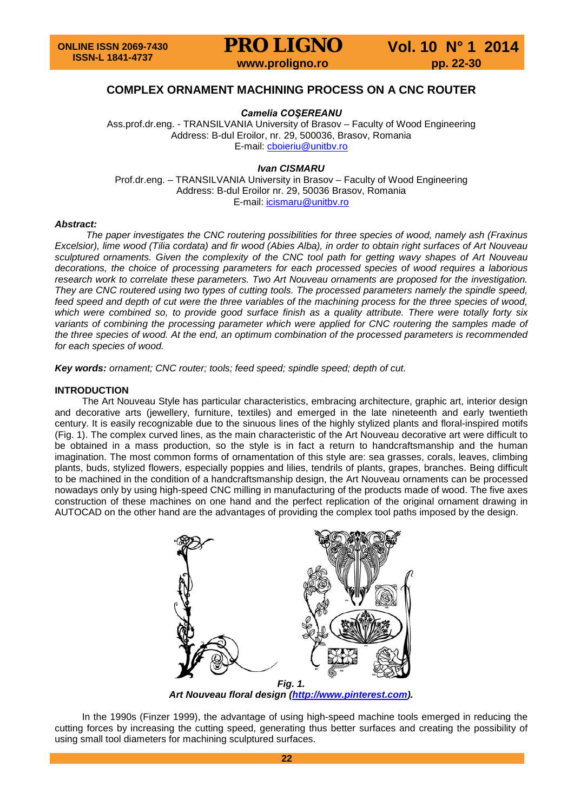# **COMPLEX ORNAMENT MACHINING PROCESS ON A CNC ROUTER**

*Camelia COŞEREANU*

Ass.prof.dr.eng. - TRANSILVANIA University of Brasov – Faculty of Wood Engineering Address: B-dul Eroilor, nr. 29, 500036, Brasov, Romania E-mail: [cboieriu@unitbv.ro](mailto:cboieriu@unitbv.ro)

#### *Ivan CISMARU*

Prof.dr.eng. – TRANSILVANIA University in Brasov – Faculty of Wood Engineering Address: B-dul Eroilor nr. 29, 50036 Brasov, Romania E-mail: [icismaru@unitbv.ro](mailto:icismaru@unitbv.ro)

#### *Abstract:*

*The paper investigates the CNC routering possibilities for three species of wood, namely ash (Fraxinus Excelsior), lime wood (Tilia cordata) and fir wood (Abies Alba), in order to obtain right surfaces of Art Nouveau sculptured ornaments. Given the complexity of the CNC tool path for getting wavy shapes of Art Nouveau decorations, the choice of processing parameters for each processed species of wood requires a laborious research work to correlate these parameters. Two Art Nouveau ornaments are proposed for the investigation. They are CNC routered using two types of cutting tools. The processed parameters namely the spindle speed, feed speed and depth of cut were the three variables of the machining process for the three species of wood, which were combined so, to provide good surface finish as a quality attribute. There were totally forty six* variants of combining the processing parameter which were applied for CNC routering the samples made of *the three species of wood. At the end, an optimum combination of the processed parameters is recommended for each species of wood.* 

*Key words: ornament; CNC router; tools; feed speed; spindle speed; depth of cut.*

#### **INTRODUCTION**

The Art Nouveau Style has particular characteristics, embracing architecture, graphic art, interior design and decorative arts (jewellery, furniture, textiles) and emerged in the late nineteenth and early twentieth century. It is easily recognizable due to the sinuous lines of the highly stylized plants and floral-inspired motifs (Fig. 1). The complex curved lines, as the main characteristic of the Art Nouveau decorative art were difficult to be obtained in a mass production, so the style is in fact a return to handcraftsmanship and the human imagination. The most common forms of ornamentation of this style are: sea grasses, corals, leaves, climbing plants, buds, stylized flowers, especially poppies and lilies, tendrils of plants, grapes, branches. Being difficult to be machined in the condition of a handcraftsmanship design, the Art Nouveau ornaments can be processed nowadays only by using high-speed CNC milling in manufacturing of the products made of wood. The five axes construction of these machines on one hand and the perfect replication of the original ornament drawing in AUTOCAD on the other hand are the advantages of providing the complex tool paths imposed by the design.



*Art Nouveau floral design [\(http://www.pinterest.com\)](http://www.pinterest.com/).*

In the 1990s (Finzer 1999), the advantage of using high-speed machine tools emerged in reducing the cutting forces by increasing the cutting speed, generating thus better surfaces and creating the possibility of using small tool diameters for machining sculptured surfaces.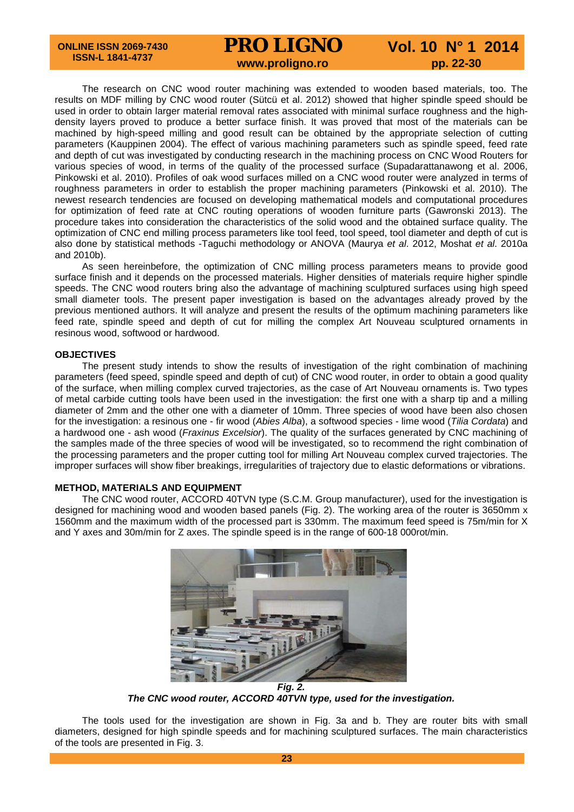# **PRO LIGNO** Vol. 10 N° 1 2014<br>www.proligno.ro pp. 22-30

The research on CNC wood router machining was extended to wooden based materials, too. The results on MDF milling by CNC wood router (Sütcü et al. 2012) showed that higher spindle speed should be used in order to obtain larger material removal rates associated with minimal surface roughness and the highdensity layers proved to produce a better surface finish. It was proved that most of the materials can be machined by high-speed milling and good result can be obtained by the appropriate selection of cutting parameters (Kauppinen 2004). The effect of various machining parameters such as spindle speed, feed rate and depth of cut was investigated by conducting research in the machining process on CNC Wood Routers for various species of wood, in terms of the quality of the processed surface (Supadarattanawong et al. 2006, Pinkowski et al. 2010). Profiles of oak wood surfaces milled on a CNC wood router were analyzed in terms of roughness parameters in order to establish the proper machining parameters (Pinkowski et al. 2010). The newest research tendencies are focused on developing mathematical models and computational procedures for optimization of feed rate at CNC routing operations of wooden furniture parts (Gawronski 2013). The procedure takes into consideration the characteristics of the solid wood and the obtained surface quality. The optimization of CNC end milling process parameters like tool feed, tool speed, tool diameter and depth of cut is also done by statistical methods -Taguchi methodology or ANOVA (Maurya *et al*. 2012, Moshat *et al*. 2010a and 2010b).

As seen hereinbefore, the optimization of CNC milling process parameters means to provide good surface finish and it depends on the processed materials. Higher densities of materials require higher spindle speeds. The CNC wood routers bring also the advantage of machining sculptured surfaces using high speed small diameter tools. The present paper investigation is based on the advantages already proved by the previous mentioned authors. It will analyze and present the results of the optimum machining parameters like feed rate, spindle speed and depth of cut for milling the complex Art Nouveau sculptured ornaments in resinous wood, softwood or hardwood.

## **OBJECTIVES**

The present study intends to show the results of investigation of the right combination of machining parameters (feed speed, spindle speed and depth of cut) of CNC wood router, in order to obtain a good quality of the surface, when milling complex curved trajectories, as the case of Art Nouveau ornaments is. Two types of metal carbide cutting tools have been used in the investigation: the first one with a sharp tip and a milling diameter of 2mm and the other one with a diameter of 10mm. Three species of wood have been also chosen for the investigation: a resinous one - fir wood (*Abies Alba*), a softwood species - lime wood (*Tilia Cordata*) and a hardwood one - ash wood (*Fraxinus Excelsior*). The quality of the surfaces generated by CNC machining of the samples made of the three species of wood will be investigated, so to recommend the right combination of the processing parameters and the proper cutting tool for milling Art Nouveau complex curved trajectories. The improper surfaces will show fiber breakings, irregularities of trajectory due to elastic deformations or vibrations.

#### **METHOD, MATERIALS AND EQUIPMENT**

The CNC wood router, ACCORD 40TVN type (S.C.M. Group manufacturer), used for the investigation is designed for machining wood and wooden based panels (Fig. 2). The working area of the router is 3650mm x 1560mm and the maximum width of the processed part is 330mm. The maximum feed speed is 75m/min for X and Y axes and 30m/min for Z axes. The spindle speed is in the range of 600-18 000rot/min.



*The CNC wood router, ACCORD 40TVN type, used for the investigation.*

The tools used for the investigation are shown in Fig. 3a and b. They are router bits with small diameters, designed for high spindle speeds and for machining sculptured surfaces. The main characteristics of the tools are presented in Fig. 3.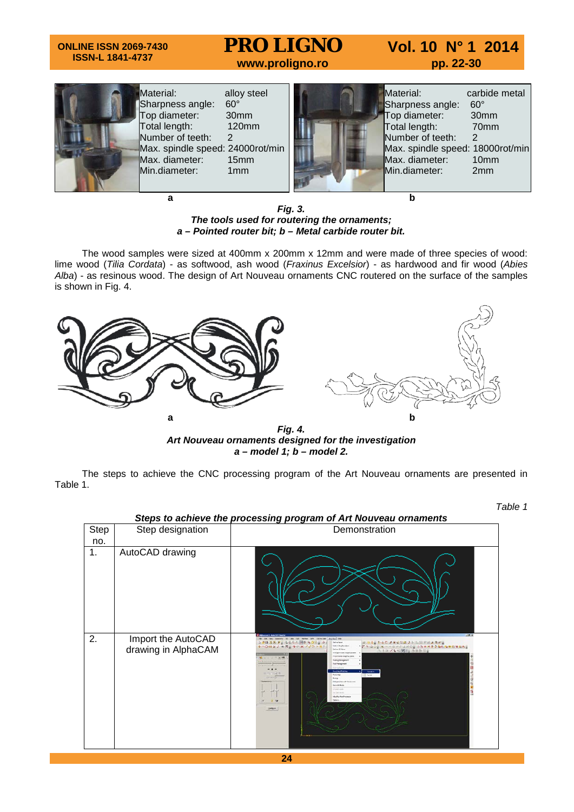# **ONLINE ISSN 2069-7430 ISSN-L 1841-4737 PRO LIGNO** Vol. 10 N° 1 2014<br>www.proligno.ro pp. 22-30



*Fig. 3. The tools used for routering the ornaments; a – Pointed router bit; b – Metal carbide router bit.*

The wood samples were sized at 400mm x 200mm x 12mm and were made of three species of wood: lime wood (*Tilia Cordata*) - as softwood, ash wood (*Fraxinus Excelsior*) - as hardwood and fir wood (*Abies Alba*) - as resinous wood. The design of Art Nouveau ornaments CNC routered on the surface of the samples is shown in Fig. 4.



*Art Nouveau ornaments designed for the investigation a – model 1; b – model 2.*

The steps to achieve the CNC processing program of the Art Nouveau ornaments are presented in Table 1.

*Table 1* 

|      | Steps to achieve the processing program of Art Nouveau ornaments |                                                                                                                                                                                                                                                                                                                                                                                                                                                                                                                                                                                                  |  |  |  |  |  |
|------|------------------------------------------------------------------|--------------------------------------------------------------------------------------------------------------------------------------------------------------------------------------------------------------------------------------------------------------------------------------------------------------------------------------------------------------------------------------------------------------------------------------------------------------------------------------------------------------------------------------------------------------------------------------------------|--|--|--|--|--|
| Step | Step designation                                                 | Demonstration                                                                                                                                                                                                                                                                                                                                                                                                                                                                                                                                                                                    |  |  |  |  |  |
| no.  |                                                                  |                                                                                                                                                                                                                                                                                                                                                                                                                                                                                                                                                                                                  |  |  |  |  |  |
| 1.   | AutoCAD drawing                                                  |                                                                                                                                                                                                                                                                                                                                                                                                                                                                                                                                                                                                  |  |  |  |  |  |
| 2.   | Import the AutoCAD<br>drawing in AlphaCAM                        | <b>SELE</b><br>skette bis<br>ココ日出たぎょうもうふ 明や モコマック<br>は、日本生とも日本情報を提供を活用に組みませる<br><b>Jefreiheid</b><br><b>Select Marklaudene</b><br>'7'* 001 X -- 0 X C I X ON 3 Y R H 2 0 6 6 6 8 8 0 9 0 6 1<br>いへのロビジネス つく メディアール<br><b>Jafre Willem</b><br><b>图 1 四 / V 中国国际协助加工局</b><br><b>HEIGHT JORK EDUCATILE FORT</b><br>10.15<br><b>Today Roragen</b><br><b>ILIALIALIA</b><br><b>NEW MERCH</b><br><b>Srake</b><br><b>Roder Stop</b><br><b>Built</b><br>here<br>Mepázian elli-fechr ava<br><b>Cut with Block</b><br><b>School voices</b><br>Gebeure<br><b>Hurta Paritment</b><br>3 <sup>o</sup><br>CHASH. |  |  |  |  |  |

**24**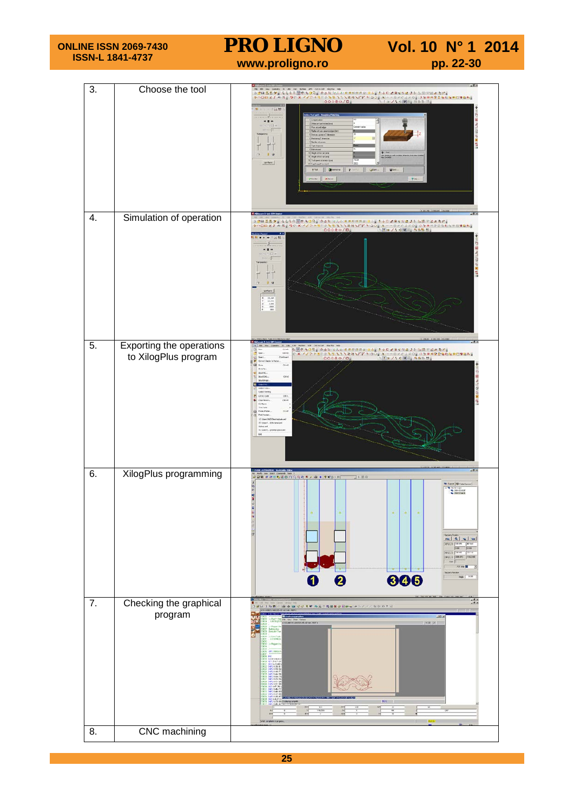| <b>ONLINE ISSN 2069-7430</b><br><b>ISSN-L 1841-4737</b> |                                                  | <b>PRO LIGNO</b><br>Vol. 10 N° 1 2014<br>www.proligno.ro<br>pp. 22-30                                                                                                                                                                                                                                                                                            |                                                                                                                                                                                                                                 |  |
|---------------------------------------------------------|--------------------------------------------------|------------------------------------------------------------------------------------------------------------------------------------------------------------------------------------------------------------------------------------------------------------------------------------------------------------------------------------------------------------------|---------------------------------------------------------------------------------------------------------------------------------------------------------------------------------------------------------------------------------|--|
| 3.                                                      | Choose the tool                                  | ○ 5日 五五 アド ならなん 歴史 もりの。 かみな ヒムム 日本は日中に日本。 1-6日 アキビちは メト 上川 平田 めたん<br>0000050<br>"记牌"<br><br>Fill II<br>Chipe of pe<br>Hacky of five<br>$\frac{1}{2}$<br>Sinham .<br>Dieners 2<br>to Mine                                                                                                                                                                         | - チェントの回る はかかに。<br>Com- Pies<br>2m                                                                                                                                                                                              |  |
| 4.                                                      | Simulation of operation                          | $\begin{tabular}{cc} X & 71, 30 \\ Y & 21, 47 \\ Z & 4, 68 \\ \end{tabular}$                                                                                                                                                                                                                                                                                     |                                                                                                                                                                                                                                 |  |
| 5.                                                      | Exporting the operations<br>to XilogPlus program | FM RR WH G<br>AW CONSAF Highle He<br>B<br>Cristi<br>Open<br>Oriel .<br>Inet.<br>Crisbust<br>a)<br>Sine No<br><b>BoulinG</b><br><b>POLEN</b><br>Гs<br>DHs.<br><b>TAC CAB</b><br>C <sub>0</sub><br>CAM FRINGY<br>Cirkure.<br>vit free<br><b>CE Prom Plater</b><br>Piet Preview<br>10 Versitetti<br>20 Went - 04 new art<br><b>Islaud</b><br><b>ACSIMIST</b><br>bit | SHO 100 GOGGO DI SANTE ADDE NA LE SANTE SANTE SANTE SANTE SANTE SANTE SANTE SANTE SANTE SANTE SANTE SANTE SANTE<br>CX: // D. 11   D. 11   D. 11   D. 11   D. 11   D. 11   D. 11   D. 11   D. 11   D. 11   D. 11   D. 11   D. 11 |  |
| 6.                                                      | XilogPlus programming                            | <b>URN BE SHORAGE CARDITED</b><br>日利阪県<br>● 第 日 ● 日 ● 日<br>0<br>0                                                                                                                                                                                                                                                                                                | * Look   B Take De<br>Selector<br>$\bullet$<br>$\circ$<br>$\ddot{\circ}$<br>$-1 - 1 - 1 -$<br><b>CPSKVI</b><br>were in Telephone Traugher<br>800                                                                                |  |
| $\overline{7}$ .                                        | Checking the graphical<br>program                | 湖川 王弘熙<br>40日<br><b>MODY-40000-25-AS-HAFAREF</b>                                                                                                                                                                                                                                                                                                                 | ■ 日本米 キャンスの 取金 ねす 3<br>(1932) (49)                                                                                                                                                                                              |  |
| 8.                                                      | <b>CNC</b> machining                             |                                                                                                                                                                                                                                                                                                                                                                  |                                                                                                                                                                                                                                 |  |

**25**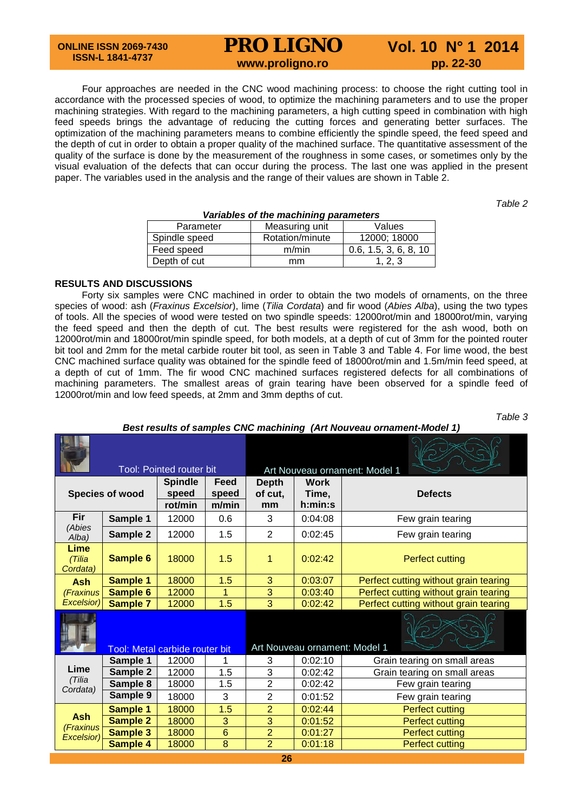# **PRO LIGNO** Vol. 10 N° 1 2014<br>www.proligno.ro pp. 22-30

Four approaches are needed in the CNC wood machining process: to choose the right cutting tool in accordance with the processed species of wood, to optimize the machining parameters and to use the proper machining strategies. With regard to the machining parameters, a high cutting speed in combination with high feed speeds brings the advantage of reducing the cutting forces and generating better surfaces. The optimization of the machining parameters means to combine efficiently the spindle speed, the feed speed and the depth of cut in order to obtain a proper quality of the machined surface. The quantitative assessment of the quality of the surface is done by the measurement of the roughness in some cases, or sometimes only by the visual evaluation of the defects that can occur during the process. The last one was applied in the present paper. The variables used in the analysis and the range of their values are shown in Table 2.

*Table 2* 

| variables of the machining parameters |                 |                       |  |  |  |  |
|---------------------------------------|-----------------|-----------------------|--|--|--|--|
| Parameter                             | Measuring unit  | Values                |  |  |  |  |
| Spindle speed                         | Rotation/minute | 12000: 18000          |  |  |  |  |
| Feed speed                            | m/min           | 0.6, 1.5, 3, 6, 8, 10 |  |  |  |  |
| Depth of cut                          | mm              | 1.2.3                 |  |  |  |  |

# *Variables of the machining parameters*

## **RESULTS AND DISCUSSIONS**

Forty six samples were CNC machined in order to obtain the two models of ornaments, on the three species of wood: ash (*Fraxinus Excelsior*), lime (*Tilia Cordata*) and fir wood (*Abies Alba*), using the two types of tools. All the species of wood were tested on two spindle speeds: 12000rot/min and 18000rot/min, varying the feed speed and then the depth of cut. The best results were registered for the ash wood, both on 12000rot/min and 18000rot/min spindle speed, for both models, at a depth of cut of 3mm for the pointed router bit tool and 2mm for the metal carbide router bit tool, as seen in Table 3 and Table 4. For lime wood, the best CNC machined surface quality was obtained for the spindle feed of 18000rot/min and 1.5m/min feed speed, at a depth of cut of 1mm. The fir wood CNC machined surfaces registered defects for all combinations of machining parameters. The smallest areas of grain tearing have been observed for a spindle feed of 12000rot/min and low feed speeds, at 2mm and 3mm depths of cut.

| able |
|------|
|------|

## *Best results of samples CNC machining (Art Nouveau ornament-Model 1)*

| <b>Tool: Pointed router bit</b> |                 |                                       | Art Nouveau ornament: Model 1 |                               |                                 |                                       |
|---------------------------------|-----------------|---------------------------------------|-------------------------------|-------------------------------|---------------------------------|---------------------------------------|
| Species of wood                 |                 | <b>Spindle</b><br>speed<br>rot/min    | Feed<br>speed<br>m/min        | <b>Depth</b><br>of cut,<br>mm | <b>Work</b><br>Time,<br>h:min:s | <b>Defects</b>                        |
| Fir                             | Sample 1        | 12000                                 | 0.6                           | 3                             | 0:04:08                         | Few grain tearing                     |
| (Abies<br>Alba)                 | Sample 2        | 12000                                 | 1.5                           | $\overline{2}$                | 0:02:45                         | Few grain tearing                     |
| Lime<br>(Tilia<br>Cordata)      | <b>Sample 6</b> | 18000                                 | 1.5                           | 1                             | 0:02:42                         | <b>Perfect cutting</b>                |
| <b>Ash</b>                      | Sample 1        | 18000                                 | 1.5                           | 3                             | 0:03:07                         | Perfect cutting without grain tearing |
| (Fraxinus                       | Sample 6        | 12000                                 | $\mathbf{1}$                  | $\overline{3}$                | 0:03:40                         | Perfect cutting without grain tearing |
| <b>Excelsior)</b>               | <b>Sample 7</b> | 12000                                 | 1.5                           | $\overline{3}$                | 0:02:42                         | Perfect cutting without grain tearing |
|                                 |                 | <b>Tool: Metal carbide router bit</b> |                               |                               | Art Nouveau ornament: Model 1   |                                       |
|                                 | Sample 1        | 12000                                 | 1                             | 3                             | 0:02:10                         | Grain tearing on small areas          |
| Lime                            | Sample 2        | 12000                                 | 1.5                           | 3                             | 0:02:42                         | Grain tearing on small areas          |
| (Tilia<br>Cordata)              | Sample 8        | 18000                                 | 1.5                           | $\overline{2}$                | 0:02:42                         | Few grain tearing                     |
|                                 | Sample 9        | 18000                                 | 3                             | $\overline{2}$                | 0:01:52                         | Few grain tearing                     |
|                                 | Sample 1        | 18000                                 | 1.5                           | $\overline{2}$                | 0:02:44                         | <b>Perfect cutting</b>                |
| <b>Ash</b><br>(Fraxinus         | <b>Sample 2</b> | 18000                                 | 3                             | 3                             | 0:01:52                         | <b>Perfect cutting</b>                |
| Excelsior)                      | <b>Sample 3</b> | 18000                                 | $6\phantom{1}$                | $\overline{2}$                | 0:01:27                         | <b>Perfect cutting</b>                |
|                                 | <b>Sample 4</b> | 18000                                 | 8                             | $\overline{2}$                | 0:01:18                         | <b>Perfect cutting</b>                |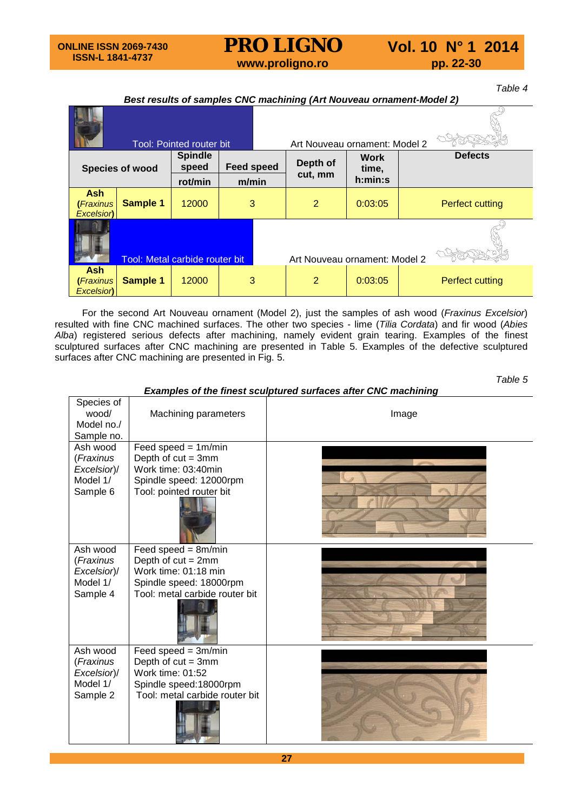# **PRO LIGNO** Vol. 10 N° 1 2014<br>www.proligno.ro pp. 22-30

*Table 4*

# *Best results of samples CNC machining (Art Nouveau ornament-Model 2)*

|                                      |                                | <b>Tool: Pointed router bit</b> |                            |  | Art Nouveau ornament: Model 2 |                                 |                 |
|--------------------------------------|--------------------------------|---------------------------------|----------------------------|--|-------------------------------|---------------------------------|-----------------|
| Species of wood                      |                                | <b>Spindle</b><br>speed         | <b>Feed speed</b><br>m/min |  | Depth of<br>cut, mm           | <b>Work</b><br>time,<br>h:min:s | <b>Defects</b>  |
|                                      |                                | rot/min                         |                            |  |                               |                                 |                 |
| <b>Ash</b><br>(Fraxinus<br>Excelsion | <b>Sample 1</b>                | 12000                           | 3                          |  | 2                             | 0:03:05                         | Perfect cutting |
|                                      | Tool: Metal carbide router bit |                                 |                            |  | Art Nouveau ornament: Model 2 |                                 |                 |
| <b>Ash</b><br>(Fraxinus<br>Excelsion | <b>Sample 1</b>                | 12000                           | 3                          |  | 2                             | 0:03:05                         | Perfect cutting |

For the second Art Nouveau ornament (Model 2), just the samples of ash wood (*Fraxinus Excelsior*) resulted with fine CNC machined surfaces. The other two species - lime (*Tilia Cordata*) and fir wood (*Abies Alba*) registered serious defects after machining, namely evident grain tearing. Examples of the finest sculptured surfaces after CNC machining are presented in Table 5. Examples of the defective sculptured surfaces after CNC machining are presented in Fig. 5.

*Table 5*

*Examples of the finest sculptured surfaces after CNC machining* 

| Species of<br>wood/<br>Model no./<br>Sample no. | Machining parameters                                | Image |  |  |
|-------------------------------------------------|-----------------------------------------------------|-------|--|--|
| Ash wood                                        | Feed speed = $1m/min$                               |       |  |  |
| (Fraxinus                                       | Depth of $cut = 3mm$                                |       |  |  |
| Excelsior)/                                     | Work time: 03:40min                                 |       |  |  |
| Model 1/<br>Sample 6                            | Spindle speed: 12000rpm<br>Tool: pointed router bit |       |  |  |
| Ash wood                                        | Feed speed = $8m/min$                               |       |  |  |
| (Fraxinus                                       | Depth of $cut = 2mm$                                |       |  |  |
| Excelsior)/                                     | Work time: 01:18 min                                |       |  |  |
| Model 1/                                        | Spindle speed: 18000rpm                             |       |  |  |
| Sample 4                                        | Tool: metal carbide router bit                      |       |  |  |
| Ash wood                                        | Feed speed = $3m/min$                               |       |  |  |
| (Fraxinus                                       | Depth of $cut = 3mm$                                |       |  |  |
| Excelsior)/                                     | Work time: 01:52                                    |       |  |  |
| Model 1/                                        | Spindle speed: 18000rpm                             |       |  |  |
| Sample 2                                        | Tool: metal carbide router bit                      |       |  |  |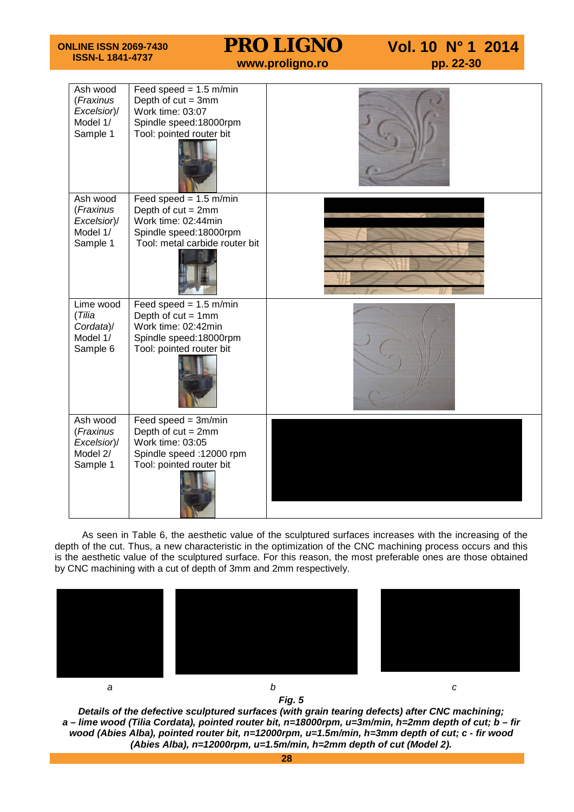| <b>ONLINE ISSN 2069-7430</b><br><b>ISSN-L 1841-4737</b>      |                                                                                                                                     | <b>PRO LIGNO</b><br>www.proligno.ro | Vol. 10 N° 1 2014<br>pp. 22-30 |
|--------------------------------------------------------------|-------------------------------------------------------------------------------------------------------------------------------------|-------------------------------------|--------------------------------|
| Ash wood<br>(Fraxinus<br>Excelsior)/<br>Model 1/<br>Sample 1 | Feed speed = $1.5$ m/min<br>Depth of $cut = 3mm$<br>Work time: 03:07<br>Spindle speed:18000rpm<br>Tool: pointed router bit          |                                     |                                |
| Ash wood<br>(Fraxinus<br>Excelsior)/<br>Model 1/<br>Sample 1 | Feed speed = $1.5$ m/min<br>Depth of $cut = 2mm$<br>Work time: 02:44min<br>Spindle speed:18000rpm<br>Tool: metal carbide router bit |                                     |                                |
| Lime wood<br>(Tilia<br>Cordata)/<br>Model 1/<br>Sample 6     | Feed speed = $1.5$ m/min<br>Depth of $cut = 1$ mm<br>Work time: 02:42min<br>Spindle speed:18000rpm<br>Tool: pointed router bit      |                                     |                                |
| Ash wood<br>(Fraxinus<br>Excelsior)/<br>Model 2/<br>Sample 1 | Feed speed $= 3m/min$<br>Depth of $cut = 2mm$<br>Work time: 03:05<br>Spindle speed :12000 rpm<br>Tool: pointed router bit           |                                     |                                |

As seen in Table 6, the aesthetic value of the sculptured surfaces increases with the increasing of the depth of the cut. Thus, a new characteristic in the optimization of the CNC machining process occurs and this is the aesthetic value of the sculptured surface. For this reason, the most preferable ones are those obtained by CNC machining with a cut of depth of 3mm and 2mm respectively.



*Fig. 5*

*Details of the defective sculptured surfaces (with grain tearing defects) after CNC machining; a – lime wood (Tilia Cordata), pointed router bit, n=18000rpm, u=3m/min, h=2mm depth of cut; b – fir wood (Abies Alba), pointed router bit, n=12000rpm, u=1.5m/min, h=3mm depth of cut; c - fir wood (Abies Alba), n=12000rpm, u=1.5m/min, h=2mm depth of cut (Model 2).*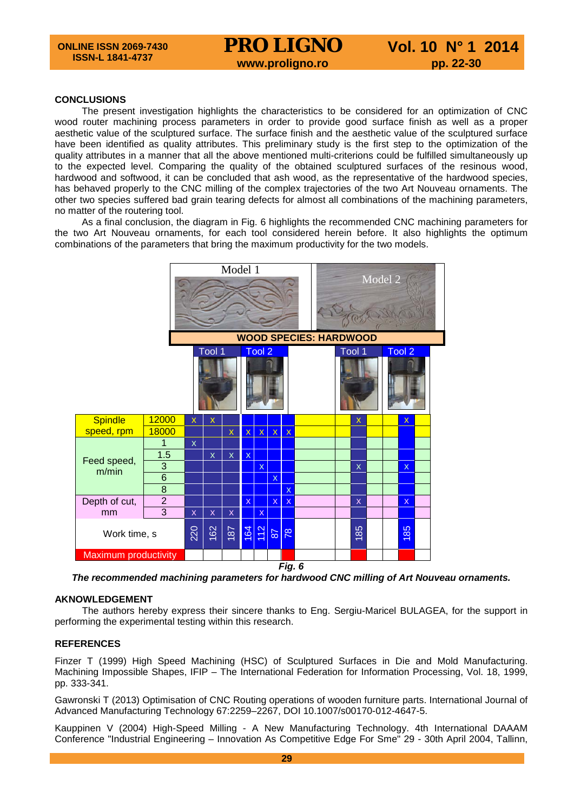# **CONCLUSIONS**

The present investigation highlights the characteristics to be considered for an optimization of CNC wood router machining process parameters in order to provide good surface finish as well as a proper aesthetic value of the sculptured surface. The surface finish and the aesthetic value of the sculptured surface have been identified as quality attributes. This preliminary study is the first step to the optimization of the quality attributes in a manner that all the above mentioned multi-criterions could be fulfilled simultaneously up to the expected level. Comparing the quality of the obtained sculptured surfaces of the resinous wood, hardwood and softwood, it can be concluded that ash wood, as the representative of the hardwood species, has behaved properly to the CNC milling of the complex trajectories of the two Art Nouveau ornaments. The other two species suffered bad grain tearing defects for almost all combinations of the machining parameters, no matter of the routering tool.

As a final conclusion, the diagram in Fig. 6 highlights the recommended CNC machining parameters for the two Art Nouveau ornaments, for each tool considered herein before. It also highlights the optimum combinations of the parameters that bring the maximum productivity for the two models.



*The recommended machining parameters for hardwood CNC milling of Art Nouveau ornaments.*

## **AKNOWLEDGEMENT**

The authors hereby express their sincere thanks to Eng. Sergiu-Maricel BULAGEA, for the support in performing the experimental testing within this research.

# **REFERENCES**

Finzer T (1999) High Speed Machining (HSC) of Sculptured Surfaces in Die and Mold Manufacturing. Machining Impossible Shapes, IFIP – The International Federation for Information Processing, Vol. 18, 1999, pp. 333-341.

Gawronski T (2013) Optimisation of CNC Routing operations of wooden furniture parts. International Journal of Advanced Manufacturing Technology 67:2259–2267, DOI 10.1007/s00170-012-4647-5.

Kauppinen V (2004) High-Speed Milling - A New Manufacturing Technology. 4th International DAAAM Conference "Industrial Engineering – Innovation As Competitive Edge For Sme" 29 - 30th April 2004, Tallinn,